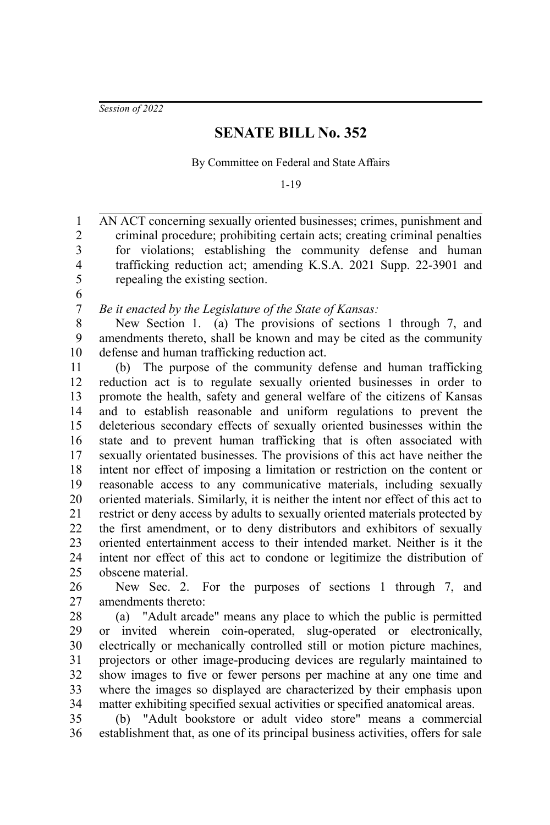*Session of 2022*

## **SENATE BILL No. 352**

By Committee on Federal and State Affairs

1-19

AN ACT concerning sexually oriented businesses; crimes, punishment and criminal procedure; prohibiting certain acts; creating criminal penalties for violations; establishing the community defense and human trafficking reduction act; amending K.S.A. 2021 Supp. 22-3901 and repealing the existing section. 1 2 3 4 5

6 7

*Be it enacted by the Legislature of the State of Kansas:*

New Section 1. (a) The provisions of sections 1 through 7, and amendments thereto, shall be known and may be cited as the community defense and human trafficking reduction act. 8 9 10

(b) The purpose of the community defense and human trafficking reduction act is to regulate sexually oriented businesses in order to promote the health, safety and general welfare of the citizens of Kansas and to establish reasonable and uniform regulations to prevent the deleterious secondary effects of sexually oriented businesses within the state and to prevent human trafficking that is often associated with sexually orientated businesses. The provisions of this act have neither the intent nor effect of imposing a limitation or restriction on the content or reasonable access to any communicative materials, including sexually oriented materials. Similarly, it is neither the intent nor effect of this act to restrict or deny access by adults to sexually oriented materials protected by the first amendment, or to deny distributors and exhibitors of sexually oriented entertainment access to their intended market. Neither is it the intent nor effect of this act to condone or legitimize the distribution of obscene material. 11 12 13 14 15 16 17 18 19 20 21 22 23 24 25

New Sec. 2. For the purposes of sections 1 through 7, and amendments thereto: 26 27

(a) "Adult arcade" means any place to which the public is permitted or invited wherein coin-operated, slug-operated or electronically, electrically or mechanically controlled still or motion picture machines, projectors or other image-producing devices are regularly maintained to show images to five or fewer persons per machine at any one time and where the images so displayed are characterized by their emphasis upon matter exhibiting specified sexual activities or specified anatomical areas. 28 29 30 31 32 33 34

(b) "Adult bookstore or adult video store" means a commercial establishment that, as one of its principal business activities, offers for sale 35 36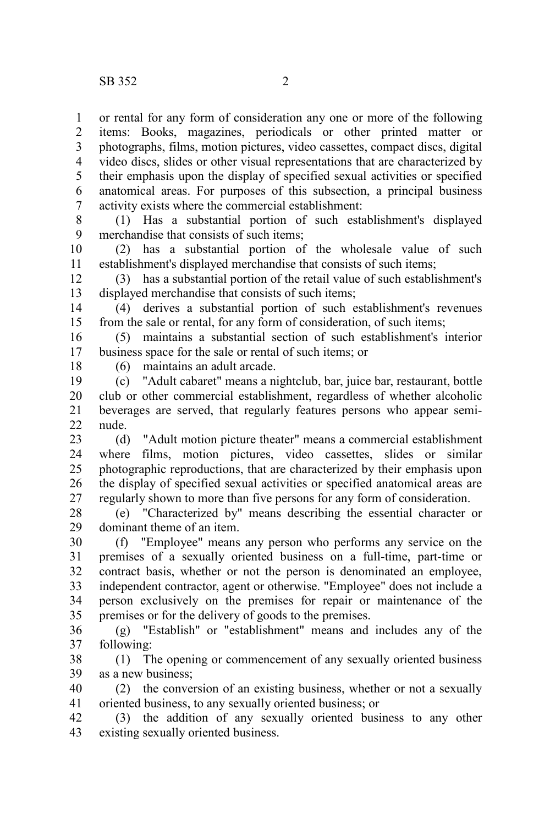or rental for any form of consideration any one or more of the following items: Books, magazines, periodicals or other printed matter or photographs, films, motion pictures, video cassettes, compact discs, digital video discs, slides or other visual representations that are characterized by their emphasis upon the display of specified sexual activities or specified anatomical areas. For purposes of this subsection, a principal business activity exists where the commercial establishment: 1 2 3 4 5 6 7

(1) Has a substantial portion of such establishment's displayed merchandise that consists of such items; 8 9

(2) has a substantial portion of the wholesale value of such establishment's displayed merchandise that consists of such items; 10 11

(3) has a substantial portion of the retail value of such establishment's displayed merchandise that consists of such items; 12 13

(4) derives a substantial portion of such establishment's revenues from the sale or rental, for any form of consideration, of such items; 14 15

(5) maintains a substantial section of such establishment's interior business space for the sale or rental of such items; or 16 17

18

(6) maintains an adult arcade.

(c) "Adult cabaret" means a nightclub, bar, juice bar, restaurant, bottle club or other commercial establishment, regardless of whether alcoholic beverages are served, that regularly features persons who appear seminude. 19 20 21  $22$ 

(d) "Adult motion picture theater" means a commercial establishment where films, motion pictures, video cassettes, slides or similar photographic reproductions, that are characterized by their emphasis upon the display of specified sexual activities or specified anatomical areas are regularly shown to more than five persons for any form of consideration. 23 24 25 26 27

(e) "Characterized by" means describing the essential character or dominant theme of an item. 28 29

(f) "Employee" means any person who performs any service on the premises of a sexually oriented business on a full-time, part-time or contract basis, whether or not the person is denominated an employee, independent contractor, agent or otherwise. "Employee" does not include a person exclusively on the premises for repair or maintenance of the premises or for the delivery of goods to the premises. 30 31 32 33 34 35

(g) "Establish" or "establishment" means and includes any of the following: 36 37

(1) The opening or commencement of any sexually oriented business as a new business; 38 39

(2) the conversion of an existing business, whether or not a sexually oriented business, to any sexually oriented business; or 40 41

(3) the addition of any sexually oriented business to any other existing sexually oriented business. 42 43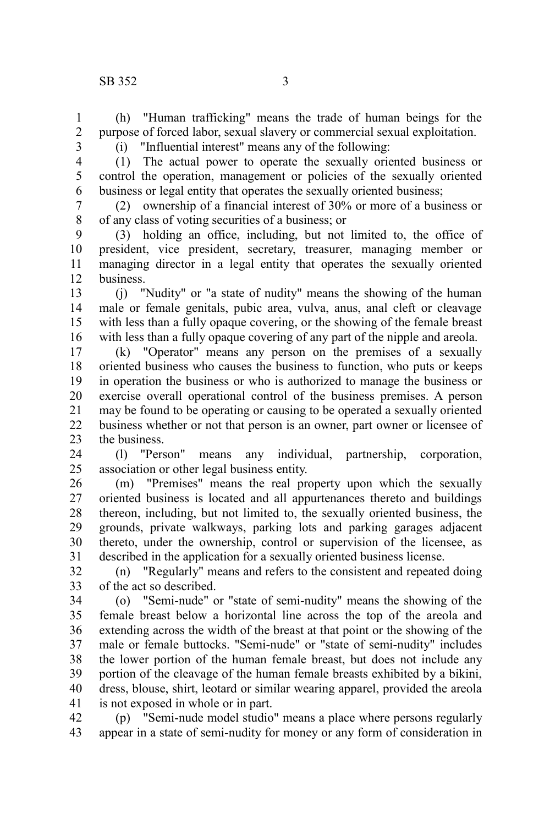(h) "Human trafficking" means the trade of human beings for the purpose of forced labor, sexual slavery or commercial sexual exploitation. 1 2

3 4

5 6

(i) "Influential interest" means any of the following: (1) The actual power to operate the sexually oriented business or control the operation, management or policies of the sexually oriented business or legal entity that operates the sexually oriented business;

(2) ownership of a financial interest of 30% or more of a business or of any class of voting securities of a business; or 7 8

(3) holding an office, including, but not limited to, the office of president, vice president, secretary, treasurer, managing member or managing director in a legal entity that operates the sexually oriented business. 9 10 11 12

(j) "Nudity" or "a state of nudity" means the showing of the human male or female genitals, pubic area, vulva, anus, anal cleft or cleavage with less than a fully opaque covering, or the showing of the female breast with less than a fully opaque covering of any part of the nipple and areola. 13 14 15 16

(k) "Operator" means any person on the premises of a sexually oriented business who causes the business to function, who puts or keeps in operation the business or who is authorized to manage the business or exercise overall operational control of the business premises. A person may be found to be operating or causing to be operated a sexually oriented business whether or not that person is an owner, part owner or licensee of the business. 17 18 19 20 21 22 23

(l) "Person" means any individual, partnership, corporation, association or other legal business entity. 24 25

(m) "Premises" means the real property upon which the sexually oriented business is located and all appurtenances thereto and buildings thereon, including, but not limited to, the sexually oriented business, the grounds, private walkways, parking lots and parking garages adjacent thereto, under the ownership, control or supervision of the licensee, as described in the application for a sexually oriented business license. 26 27 28 29 30 31

(n) "Regularly" means and refers to the consistent and repeated doing of the act so described. 32 33

(o) "Semi-nude" or "state of semi-nudity" means the showing of the female breast below a horizontal line across the top of the areola and extending across the width of the breast at that point or the showing of the male or female buttocks. "Semi-nude" or "state of semi-nudity" includes the lower portion of the human female breast, but does not include any portion of the cleavage of the human female breasts exhibited by a bikini, dress, blouse, shirt, leotard or similar wearing apparel, provided the areola is not exposed in whole or in part. 34 35 36 37 38 39 40 41

(p) "Semi-nude model studio" means a place where persons regularly appear in a state of semi-nudity for money or any form of consideration in 42 43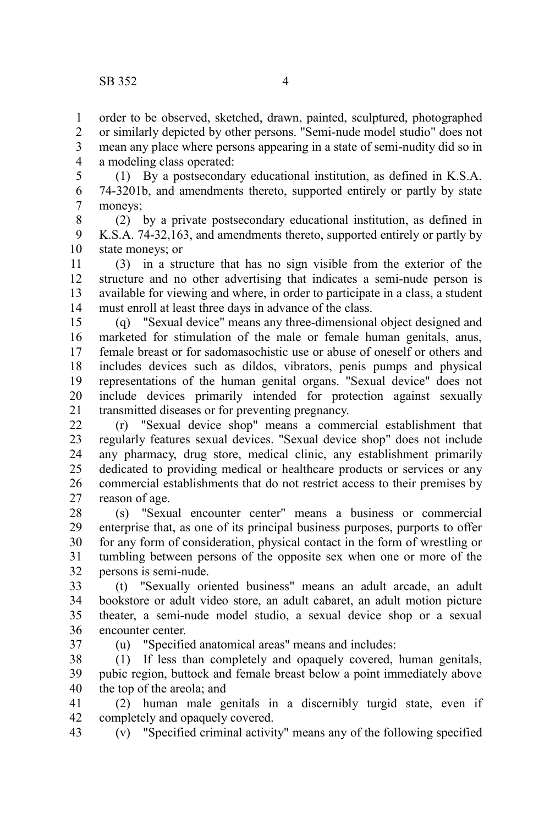order to be observed, sketched, drawn, painted, sculptured, photographed or similarly depicted by other persons. "Semi-nude model studio" does not mean any place where persons appearing in a state of semi-nudity did so in a modeling class operated: 1 2 3 4

(1) By a postsecondary educational institution, as defined in K.S.A. 74-3201b, and amendments thereto, supported entirely or partly by state moneys; 5 6 7

(2) by a private postsecondary educational institution, as defined in K.S.A. 74-32,163, and amendments thereto, supported entirely or partly by state moneys; or 8 9 10

(3) in a structure that has no sign visible from the exterior of the structure and no other advertising that indicates a semi-nude person is available for viewing and where, in order to participate in a class, a student must enroll at least three days in advance of the class. 11 12 13 14

(q) "Sexual device" means any three-dimensional object designed and marketed for stimulation of the male or female human genitals, anus, female breast or for sadomasochistic use or abuse of oneself or others and includes devices such as dildos, vibrators, penis pumps and physical representations of the human genital organs. "Sexual device" does not include devices primarily intended for protection against sexually transmitted diseases or for preventing pregnancy. 15 16 17 18 19 20 21

(r) "Sexual device shop" means a commercial establishment that regularly features sexual devices. "Sexual device shop" does not include any pharmacy, drug store, medical clinic, any establishment primarily dedicated to providing medical or healthcare products or services or any commercial establishments that do not restrict access to their premises by reason of age. 22 23 24 25 26 27

(s) "Sexual encounter center" means a business or commercial enterprise that, as one of its principal business purposes, purports to offer for any form of consideration, physical contact in the form of wrestling or tumbling between persons of the opposite sex when one or more of the persons is semi-nude. 28 29 30 31 32

(t) "Sexually oriented business" means an adult arcade, an adult bookstore or adult video store, an adult cabaret, an adult motion picture theater, a semi-nude model studio, a sexual device shop or a sexual encounter center. 33 34 35 36

37

(u) "Specified anatomical areas" means and includes:

(1) If less than completely and opaquely covered, human genitals, pubic region, buttock and female breast below a point immediately above the top of the areola; and 38 39 40

(2) human male genitals in a discernibly turgid state, even if completely and opaquely covered. 41 42

(v) "Specified criminal activity" means any of the following specified 43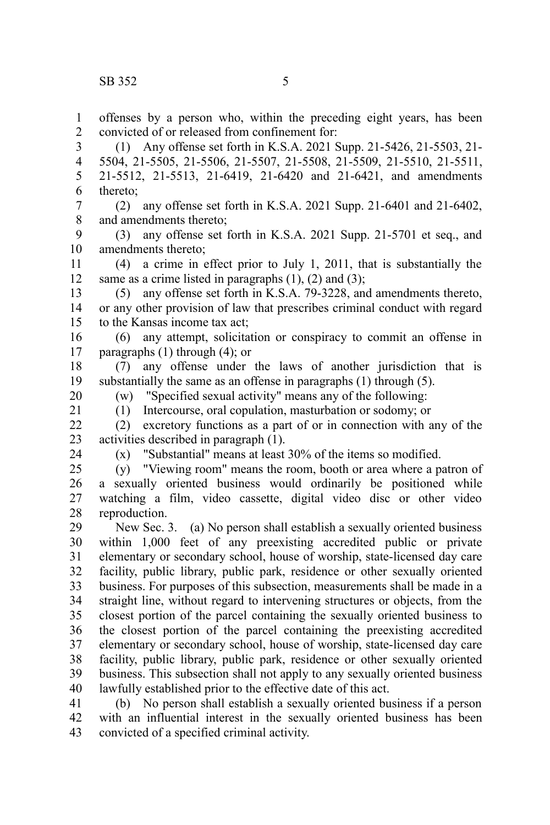offenses by a person who, within the preceding eight years, has been convicted of or released from confinement for: 1 2

(1) Any offense set forth in K.S.A. 2021 Supp. 21-5426, 21-5503, 21- 5504, 21-5505, 21-5506, 21-5507, 21-5508, 21-5509, 21-5510, 21-5511, 21-5512, 21-5513, 21-6419, 21-6420 and 21-6421, and amendments thereto; 3 4 5 6

(2) any offense set forth in K.S.A. 2021 Supp. 21-6401 and 21-6402, and amendments thereto; 7 8

(3) any offense set forth in K.S.A. 2021 Supp. 21-5701 et seq., and amendments thereto; 9 10

(4) a crime in effect prior to July 1, 2011, that is substantially the same as a crime listed in paragraphs  $(1)$ ,  $(2)$  and  $(3)$ ; 11 12

(5) any offense set forth in K.S.A. 79-3228, and amendments thereto, or any other provision of law that prescribes criminal conduct with regard to the Kansas income tax act; 13 14 15

(6) any attempt, solicitation or conspiracy to commit an offense in paragraphs (1) through (4); or 16 17

(7) any offense under the laws of another jurisdiction that is substantially the same as an offense in paragraphs (1) through (5). 18 19

20 21 (w) "Specified sexual activity" means any of the following:

(1) Intercourse, oral copulation, masturbation or sodomy; or

(2) excretory functions as a part of or in connection with any of the activities described in paragraph (1). 22 23

24

(x) "Substantial" means at least 30% of the items so modified.

(y) "Viewing room" means the room, booth or area where a patron of a sexually oriented business would ordinarily be positioned while watching a film, video cassette, digital video disc or other video reproduction. 25 26 27 28

New Sec. 3. (a) No person shall establish a sexually oriented business within 1,000 feet of any preexisting accredited public or private elementary or secondary school, house of worship, state-licensed day care facility, public library, public park, residence or other sexually oriented business. For purposes of this subsection, measurements shall be made in a straight line, without regard to intervening structures or objects, from the closest portion of the parcel containing the sexually oriented business to the closest portion of the parcel containing the preexisting accredited elementary or secondary school, house of worship, state-licensed day care facility, public library, public park, residence or other sexually oriented business. This subsection shall not apply to any sexually oriented business lawfully established prior to the effective date of this act. 29 30 31 32 33 34 35 36 37 38 39 40

(b) No person shall establish a sexually oriented business if a person with an influential interest in the sexually oriented business has been convicted of a specified criminal activity. 41 42 43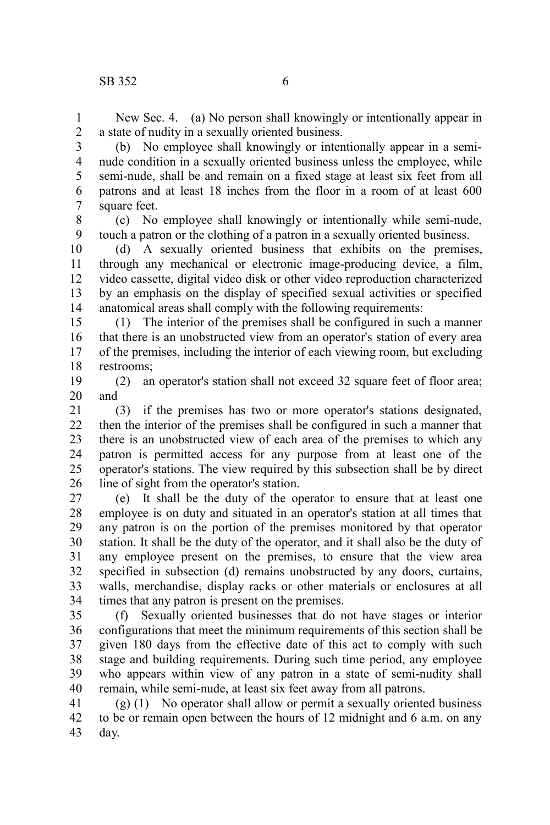New Sec. 4. (a) No person shall knowingly or intentionally appear in a state of nudity in a sexually oriented business. 1 2

(b) No employee shall knowingly or intentionally appear in a seminude condition in a sexually oriented business unless the employee, while semi-nude, shall be and remain on a fixed stage at least six feet from all patrons and at least 18 inches from the floor in a room of at least 600 square feet. 3 4 5 6 7

(c) No employee shall knowingly or intentionally while semi-nude, touch a patron or the clothing of a patron in a sexually oriented business. 8 9

(d) A sexually oriented business that exhibits on the premises, through any mechanical or electronic image-producing device, a film, video cassette, digital video disk or other video reproduction characterized by an emphasis on the display of specified sexual activities or specified anatomical areas shall comply with the following requirements: 10 11 12 13 14

(1) The interior of the premises shall be configured in such a manner that there is an unobstructed view from an operator's station of every area of the premises, including the interior of each viewing room, but excluding restrooms; 15 16 17 18

(2) an operator's station shall not exceed 32 square feet of floor area; and 19 20

(3) if the premises has two or more operator's stations designated, then the interior of the premises shall be configured in such a manner that there is an unobstructed view of each area of the premises to which any patron is permitted access for any purpose from at least one of the operator's stations. The view required by this subsection shall be by direct line of sight from the operator's station. 21 22 23 24 25 26

(e) It shall be the duty of the operator to ensure that at least one employee is on duty and situated in an operator's station at all times that any patron is on the portion of the premises monitored by that operator station. It shall be the duty of the operator, and it shall also be the duty of any employee present on the premises, to ensure that the view area specified in subsection (d) remains unobstructed by any doors, curtains, walls, merchandise, display racks or other materials or enclosures at all times that any patron is present on the premises. 27 28 29 30 31 32 33 34

(f) Sexually oriented businesses that do not have stages or interior configurations that meet the minimum requirements of this section shall be given 180 days from the effective date of this act to comply with such stage and building requirements. During such time period, any employee who appears within view of any patron in a state of semi-nudity shall remain, while semi-nude, at least six feet away from all patrons. 35 36 37 38 39 40

(g) (1) No operator shall allow or permit a sexually oriented business to be or remain open between the hours of 12 midnight and 6 a.m. on any day. 41 42 43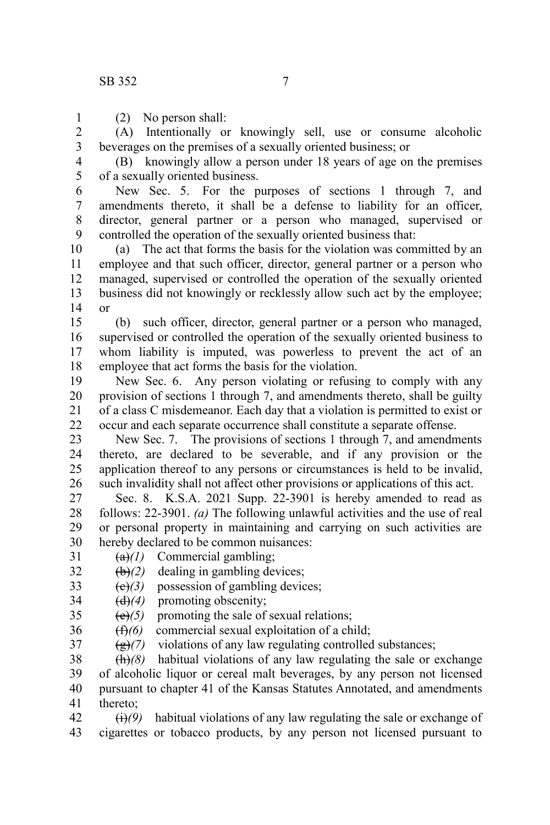1

(2) No person shall:

(A) Intentionally or knowingly sell, use or consume alcoholic beverages on the premises of a sexually oriented business; or 2 3

(B) knowingly allow a person under 18 years of age on the premises of a sexually oriented business. 4 5

New Sec. 5. For the purposes of sections 1 through 7, and amendments thereto, it shall be a defense to liability for an officer, director, general partner or a person who managed, supervised or controlled the operation of the sexually oriented business that: 6 7 8 9

(a) The act that forms the basis for the violation was committed by an employee and that such officer, director, general partner or a person who managed, supervised or controlled the operation of the sexually oriented business did not knowingly or recklessly allow such act by the employee; or 10 11 12 13 14

(b) such officer, director, general partner or a person who managed, supervised or controlled the operation of the sexually oriented business to whom liability is imputed, was powerless to prevent the act of an employee that act forms the basis for the violation. 15 16 17 18

New Sec. 6. Any person violating or refusing to comply with any provision of sections 1 through 7, and amendments thereto, shall be guilty of a class C misdemeanor. Each day that a violation is permitted to exist or occur and each separate occurrence shall constitute a separate offense. 19 20 21 22

New Sec. 7. The provisions of sections 1 through 7, and amendments thereto, are declared to be severable, and if any provision or the application thereof to any persons or circumstances is held to be invalid, such invalidity shall not affect other provisions or applications of this act. 23 24 25 26

Sec. 8. K.S.A. 2021 Supp. 22-3901 is hereby amended to read as follows: 22-3901. *(a)* The following unlawful activities and the use of real or personal property in maintaining and carrying on such activities are hereby declared to be common nuisances: 27 28 29 30

(a)*(1)* Commercial gambling; 31

 **dealing in gambling devices;** 32

(c)*(3)* possession of gambling devices; 33

- (d)*(4)* promoting obscenity; 34
- $(e)(5)$  promoting the sale of sexual relations; 35
- (f)*(6)* commercial sexual exploitation of a child; 36
- (g)*(7)* violations of any law regulating controlled substances; 37

(h)*(8)* habitual violations of any law regulating the sale or exchange of alcoholic liquor or cereal malt beverages, by any person not licensed pursuant to chapter 41 of the Kansas Statutes Annotated, and amendments thereto; 38 39 40 41

 $\overrightarrow{(i)}$ (9) habitual violations of any law regulating the sale or exchange of cigarettes or tobacco products, by any person not licensed pursuant to 42 43